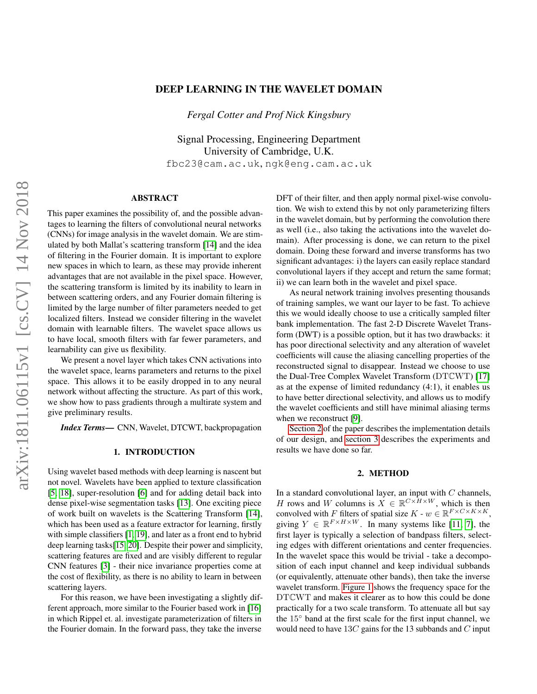## DEEP LEARNING IN THE WAVELET DOMAIN

*Fergal Cotter and Prof Nick Kingsbury*

Signal Processing, Engineering Department University of Cambridge, U.K. fbc23@cam.ac.uk, ngk@eng.cam.ac.uk

## ABSTRACT

This paper examines the possibility of, and the possible advantages to learning the filters of convolutional neural networks (CNNs) for image analysis in the wavelet domain. We are stimulated by both Mallat's scattering transform [\[14\]](#page-4-0) and the idea of filtering in the Fourier domain. It is important to explore new spaces in which to learn, as these may provide inherent advantages that are not available in the pixel space. However, the scattering transform is limited by its inability to learn in between scattering orders, and any Fourier domain filtering is limited by the large number of filter parameters needed to get localized filters. Instead we consider filtering in the wavelet domain with learnable filters. The wavelet space allows us to have local, smooth filters with far fewer parameters, and learnability can give us flexibility.

We present a novel layer which takes CNN activations into the wavelet space, learns parameters and returns to the pixel space. This allows it to be easily dropped in to any neural network without affecting the structure. As part of this work, we show how to pass gradients through a multirate system and give preliminary results.

*Index Terms*— CNN, Wavelet, DTCWT, backpropagation

## 1. INTRODUCTION

Using wavelet based methods with deep learning is nascent but not novel. Wavelets have been applied to texture classification [\[5,](#page-4-1) [18\]](#page-4-2), super-resolution [\[6\]](#page-4-3) and for adding detail back into dense pixel-wise segmentation tasks [\[13\]](#page-4-4). One exciting piece of work built on wavelets is the Scattering Transform [\[14\]](#page-4-0), which has been used as a feature extractor for learning, firstly with simple classifiers [\[1,](#page-4-5) [19\]](#page-4-6), and later as a front end to hybrid deep learning tasks[\[15,](#page-4-7) [20\]](#page-4-8). Despite their power and simplicity, scattering features are fixed and are visibly different to regular CNN features [\[3\]](#page-4-9) - their nice invariance properties come at the cost of flexibility, as there is no ability to learn in between scattering layers.

For this reason, we have been investigating a slightly different approach, more similar to the Fourier based work in [\[16\]](#page-4-10) in which Rippel et. al. investigate parameterization of filters in the Fourier domain. In the forward pass, they take the inverse

DFT of their filter, and then apply normal pixel-wise convolution. We wish to extend this by not only parameterizing filters in the wavelet domain, but by performing the convolution there as well (i.e., also taking the activations into the wavelet domain). After processing is done, we can return to the pixel domain. Doing these forward and inverse transforms has two significant advantages: i) the layers can easily replace standard convolutional layers if they accept and return the same format; ii) we can learn both in the wavelet and pixel space.

As neural network training involves presenting thousands of training samples, we want our layer to be fast. To achieve this we would ideally choose to use a critically sampled filter bank implementation. The fast 2-D Discrete Wavelet Transform (DWT) is a possible option, but it has two drawbacks: it has poor directional selectivity and any alteration of wavelet coefficients will cause the aliasing cancelling properties of the reconstructed signal to disappear. Instead we choose to use the Dual-Tree Complex Wavelet Transform (DTCWT) [\[17\]](#page-4-11) as at the expense of limited redundancy (4:1), it enables us to have better directional selectivity, and allows us to modify the wavelet coefficients and still have minimal aliasing terms when we reconstruct [\[9\]](#page-4-12).

[Section 2](#page-0-0) of the paper describes the implementation details of our design, and [section 3](#page-3-0) describes the experiments and results we have done so far.

#### 2. METHOD

<span id="page-0-0"></span>In a standard convolutional layer, an input with  $C$  channels, H rows and W columns is  $\mathbf{X} \in \mathbb{R}^{C \times \tilde{H} \times W}$ , which is then convolved with F filters of spatial size  $K$  -  $w \in \mathbb{R}^{F \times C \times K \times K}$ , giving  $Y \in \mathbb{R}^{F \times H \times W}$ . In many systems like [\[11,](#page-4-13) [7\]](#page-4-14), the first layer is typically a selection of bandpass filters, selecting edges with different orientations and center frequencies. In the wavelet space this would be trivial - take a decomposition of each input channel and keep individual subbands (or equivalently, attenuate other bands), then take the inverse wavelet transform. [Figure 1](#page-1-0) shows the frequency space for the DTCWT and makes it clearer as to how this could be done practically for a two scale transform. To attenuate all but say the 15◦ band at the first scale for the first input channel, we would need to have  $13C$  gains for the 13 subbands and C input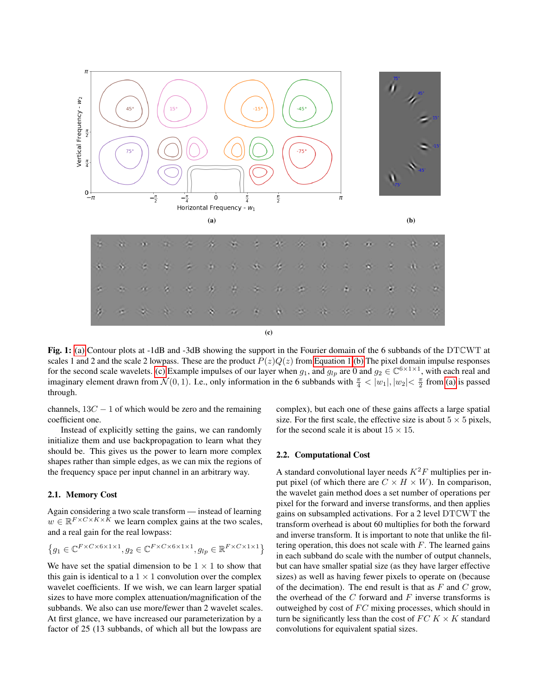<span id="page-1-1"></span><span id="page-1-0"></span>

<span id="page-1-3"></span>Fig. 1: [\(a\)](#page-1-1) Contour plots at -1dB and -3dB showing the support in the Fourier domain of the 6 subbands of the DTCWT at scales 1 and 2 and the scale 2 lowpass. These are the product  $P(z)Q(z)$  from [Equation 1](#page-2-0)[.\(b\)](#page-1-2) The pixel domain impulse responses for the second scale wavelets. [\(c\)](#page-1-3) Example impulses of our layer when  $g_1$ , and  $g_{lp}$  are 0 and  $g_2 \in \mathbb{C}^{6 \times 1 \times 1}$ , with each real and imaginary element drawn from  $\mathcal{N}(0, 1)$ . I.e., only information in the 6 subbands with  $\frac{\pi}{4} < |w_1|, |w_2| < \frac{\pi}{2}$  from [\(a\)](#page-1-1) is passed through.

channels,  $13C - 1$  of which would be zero and the remaining coefficient one.

Instead of explicitly setting the gains, we can randomly initialize them and use backpropagation to learn what they should be. This gives us the power to learn more complex shapes rather than simple edges, as we can mix the regions of the frequency space per input channel in an arbitrary way.

## 2.1. Memory Cost

Again considering a two scale transform — instead of learning  $w \in \mathbb{R}^{F \times C \times K \times \bar{K}}$  we learn complex gains at the two scales, and a real gain for the real lowpass:

$$
\left\{g_1 \in \mathbb{C}^{F \times C \times 6 \times 1 \times 1}, g_2 \in \mathbb{C}^{F \times C \times 6 \times 1 \times 1}, g_{lp} \in \mathbb{R}^{F \times C \times 1 \times 1}\right\}
$$

We have set the spatial dimension to be  $1 \times 1$  to show that this gain is identical to a  $1 \times 1$  convolution over the complex wavelet coefficients. If we wish, we can learn larger spatial sizes to have more complex attenuation/magnification of the subbands. We also can use more/fewer than 2 wavelet scales. At first glance, we have increased our parameterization by a factor of 25 (13 subbands, of which all but the lowpass are

<span id="page-1-2"></span>complex), but each one of these gains affects a large spatial size. For the first scale, the effective size is about  $5 \times 5$  pixels, for the second scale it is about  $15 \times 15$ .

#### 2.2. Computational Cost

A standard convolutional layer needs  $K^2F$  multiplies per input pixel (of which there are  $C \times H \times W$ ). In comparison, the wavelet gain method does a set number of operations per pixel for the forward and inverse transforms, and then applies gains on subsampled activations. For a 2 level DTCWT the transform overhead is about 60 multiplies for both the forward and inverse transform. It is important to note that unlike the filtering operation, this does not scale with  $F$ . The learned gains in each subband do scale with the number of output channels, but can have smaller spatial size (as they have larger effective sizes) as well as having fewer pixels to operate on (because of the decimation). The end result is that as  $F$  and  $C$  grow, the overhead of the  $C$  forward and  $F$  inverse transforms is outweighed by cost of  $FC$  mixing processes, which should in turn be significantly less than the cost of  $FC K \times K$  standard convolutions for equivalent spatial sizes.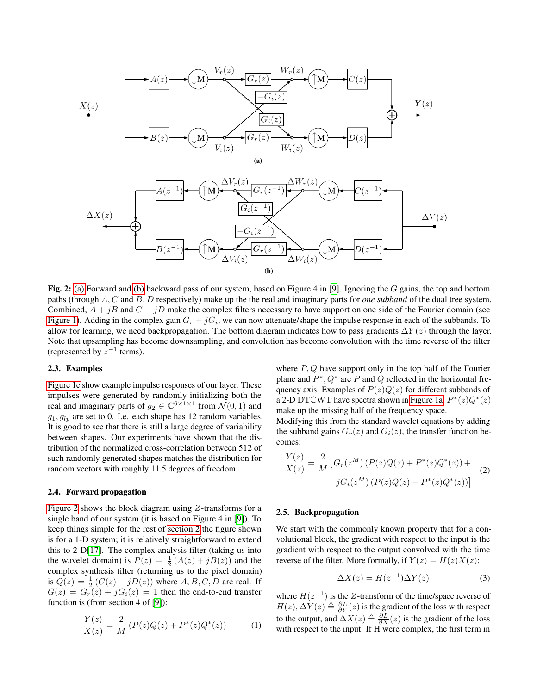<span id="page-2-3"></span><span id="page-2-1"></span>

<span id="page-2-2"></span>Fig. 2: [\(a\)](#page-2-1) Forward and [\(b\)](#page-2-2) backward pass of our system, based on Figure 4 in [\[9\]](#page-4-12). Ignoring the G gains, the top and bottom paths (through A, C and B, D respectively) make up the the real and imaginary parts for *one subband* of the dual tree system. Combined,  $A + jB$  and  $C - jD$  make the complex filters necessary to have support on one side of the Fourier domain (see [Figure 1\)](#page-1-0). Adding in the complex gain  $G_r + jG_i$ , we can now attenuate/shape the impulse response in each of the subbands. To allow for learning, we need backpropagation. The bottom diagram indicates how to pass gradients  $\Delta Y(z)$  through the layer. Note that upsampling has become downsampling, and convolution has become convolution with the time reverse of the filter (represented by  $z^{-1}$  terms).

## 2.3. Examples

[Figure 1c](#page-1-3) show example impulse responses of our layer. These impulses were generated by randomly initializing both the real and imaginary parts of  $g_2 \in \mathbb{C}^{6 \times 1 \times 1}$  from  $\mathcal{N}(0, 1)$  and  $g_1, g_{1v}$  are set to 0. I.e. each shape has 12 random variables. It is good to see that there is still a large degree of variability between shapes. Our experiments have shown that the distribution of the normalized cross-correlation between 512 of such randomly generated shapes matches the distribution for random vectors with roughly 11.5 degrees of freedom.

## 2.4. Forward propagation

[Figure 2](#page-2-3) shows the block diagram using Z-transforms for a single band of our system (it is based on Figure 4 in [\[9\]](#page-4-12)). To keep things simple for the rest of [section 2](#page-0-0) the figure shown is for a 1-D system; it is relatively straightforward to extend this to 2-D[\[17\]](#page-4-11). The complex analysis filter (taking us into the wavelet domain) is  $P(z) = \frac{1}{2}(A(z) + jB(z))$  and the complex synthesis filter (returning us to the pixel domain) is  $Q(z) = \frac{1}{2} (C(z) - jD(z))$  where  $A, B, C, D$  are real. If  $G(z) = G<sub>r</sub>(z) + jG<sub>i</sub>(z) = 1$  then the end-to-end transfer function is (from section 4 of [\[9\]](#page-4-12)):

<span id="page-2-0"></span>
$$
\frac{Y(z)}{X(z)} = \frac{2}{M} (P(z)Q(z) + P^*(z)Q^*(z))
$$
 (1)

where  $P$ ,  $Q$  have support only in the top half of the Fourier plane and  $P^*$ ,  $Q^*$  are P and Q reflected in the horizontal frequency axis. Examples of  $P(z)Q(z)$  for different subbands of a 2-D DTCWT have spectra shown in [Figure 1a,](#page-1-1)  $P^*(z)Q^*(z)$ make up the missing half of the frequency space.

Modifying this from the standard wavelet equations by adding the subband gains  $G_r(z)$  and  $G_i(z)$ , the transfer function becomes:

<span id="page-2-5"></span>
$$
\frac{Y(z)}{X(z)} = \frac{2}{M} \left[ G_r(z^M) \left( P(z) Q(z) + P^*(z) Q^*(z) \right) + \right. \\
 \left. j G_i(z^M) \left( P(z) Q(z) - P^*(z) Q^*(z) \right) \right]
$$
\n(2)

### 2.5. Backpropagation

We start with the commonly known property that for a convolutional block, the gradient with respect to the input is the gradient with respect to the output convolved with the time reverse of the filter. More formally, if  $Y(z) = H(z)X(z)$ :

<span id="page-2-4"></span>
$$
\Delta X(z) = H(z^{-1})\Delta Y(z) \tag{3}
$$

where  $H(z^{-1})$  is the Z-transform of the time/space reverse of  $H(z), \Delta Y(z) \triangleq \frac{\partial L}{\partial Y}(z)$  is the gradient of the loss with respect to the output, and  $\Delta X(z) \triangleq \frac{\partial L}{\partial X}(z)$  is the gradient of the loss with respect to the input. If H were complex, the first term in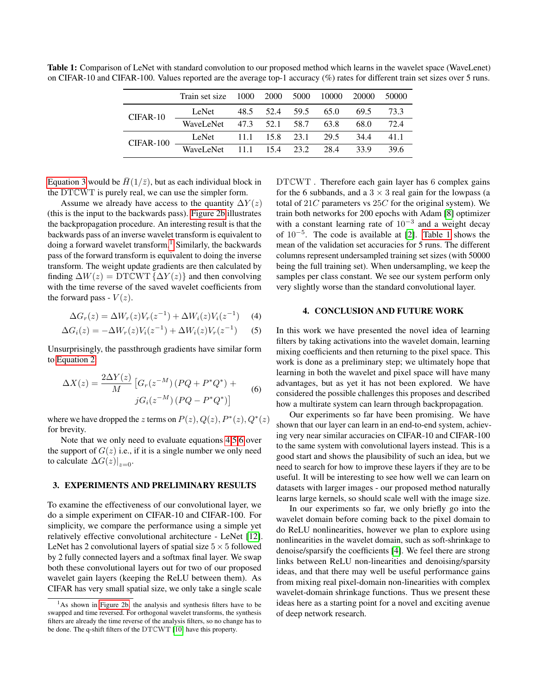|            | Train set size 1000 2000 5000 10000 20000 |                     |  |      | 50000 |
|------------|-------------------------------------------|---------------------|--|------|-------|
| $CIFAR-10$ | LeNet                                     | 48.5 52.4 59.5 65.0 |  | 69.5 | 73.3  |
|            | WaveLeNet 47.3 52.1 58.7 63.8             |                     |  | 68.0 | 72.4  |
| CIFAR-100  | LeNet 11.1 15.8 23.1 29.5                 |                     |  | 34.4 | 41.1  |
|            | WaveLeNet 11.1 15.4 23.2 28.4             |                     |  | 33.9 | 396   |

<span id="page-3-5"></span>Table 1: Comparison of LeNet with standard convolution to our proposed method which learns in the wavelet space (WaveLenet) on CIFAR-10 and CIFAR-100. Values reported are the average top-1 accuracy (%) rates for different train set sizes over 5 runs.

[Equation 3](#page-2-4) would be  $\bar{H}(1/\bar{z})$ , but as each individual block in the DTCWT is purely real, we can use the simpler form.

Assume we already have access to the quantity  $\Delta Y(z)$ (this is the input to the backwards pass). [Figure 2b](#page-2-2) illustrates the backpropagation procedure. An interesting result is that the backwards pass of an inverse wavelet transform is equivalent to doing a forward wavelet transform.<sup>[1](#page-3-1)</sup> Similarly, the backwards pass of the forward transform is equivalent to doing the inverse transform. The weight update gradients are then calculated by finding  $\Delta W(z) = \text{DTCWT } \{ \Delta Y(z) \}$  and then convolving with the time reverse of the saved wavelet coefficients from the forward pass -  $V(z)$ .

$$
\Delta G_r(z) = \Delta W_r(z) V_r(z^{-1}) + \Delta W_i(z) V_i(z^{-1}) \tag{4}
$$

$$
\Delta G_i(z) = -\Delta W_r(z)V_i(z^{-1}) + \Delta W_i(z)V_r(z^{-1}) \tag{5}
$$

Unsurprisingly, the passthrough gradients have similar form to [Equation 2:](#page-2-5)

<span id="page-3-4"></span>
$$
\Delta X(z) = \frac{2\Delta Y(z)}{M} \left[ G_r(z^{-M}) \left( PQ + P^*Q^* \right) + \right. \\
\left. j G_i(z^{-M}) \left( PQ - P^*Q^* \right) \right] \tag{6}
$$

where we have dropped the z terms on  $P(z)$ ,  $Q(z)$ ,  $P^*(z)$ ,  $Q^*(z)$ for brevity.

Note that we only need to evaluate equations [4](#page-3-2)[,5,](#page-3-3)[6](#page-3-4) over the support of  $G(z)$  i.e., if it is a single number we only need to calculate  $\Delta G(z)|_{z=0}$ .

## <span id="page-3-0"></span>3. EXPERIMENTS AND PRELIMINARY RESULTS

To examine the effectiveness of our convolutional layer, we do a simple experiment on CIFAR-10 and CIFAR-100. For simplicity, we compare the performance using a simple yet relatively effective convolutional architecture - LeNet [\[12\]](#page-4-15). LeNet has 2 convolutional layers of spatial size  $5 \times 5$  followed by 2 fully connected layers and a softmax final layer. We swap both these convolutional layers out for two of our proposed wavelet gain layers (keeping the ReLU between them). As CIFAR has very small spatial size, we only take a single scale

DTCWT . Therefore each gain layer has 6 complex gains for the 6 subbands, and a  $3 \times 3$  real gain for the lowpass (a total of  $21C$  parameters vs  $25C$  for the original system). We train both networks for 200 epochs with Adam [\[8\]](#page-4-17) optimizer with a constant learning rate of  $10^{-3}$  and a weight decay of 10−<sup>5</sup> . The code is available at [\[2\]](#page-4-18). [Table 1](#page-3-5) shows the mean of the validation set accuracies for 5 runs. The different columns represent undersampled training set sizes (with 50000 being the full training set). When undersampling, we keep the samples per class constant. We see our system perform only very slightly worse than the standard convolutional layer.

## 4. CONCLUSION AND FUTURE WORK

<span id="page-3-3"></span><span id="page-3-2"></span>In this work we have presented the novel idea of learning filters by taking activations into the wavelet domain, learning mixing coefficients and then returning to the pixel space. This work is done as a preliminary step; we ultimately hope that learning in both the wavelet and pixel space will have many advantages, but as yet it has not been explored. We have considered the possible challenges this proposes and described how a multirate system can learn through backpropagation.

Our experiments so far have been promising. We have shown that our layer can learn in an end-to-end system, achieving very near similar accuracies on CIFAR-10 and CIFAR-100 to the same system with convolutional layers instead. This is a good start and shows the plausibility of such an idea, but we need to search for how to improve these layers if they are to be useful. It will be interesting to see how well we can learn on datasets with larger images - our proposed method naturally learns large kernels, so should scale well with the image size.

In our experiments so far, we only briefly go into the wavelet domain before coming back to the pixel domain to do ReLU nonlinearities, however we plan to explore using nonlinearities in the wavelet domain, such as soft-shrinkage to denoise/sparsify the coefficients [\[4\]](#page-4-19). We feel there are strong links between ReLU non-linearities and denoising/sparsity ideas, and that there may well be useful performance gains from mixing real pixel-domain non-linearities with complex wavelet-domain shrinkage functions. Thus we present these ideas here as a starting point for a novel and exciting avenue of deep network research.

<span id="page-3-1"></span><sup>1</sup>As shown in [Figure 2b,](#page-2-2) the analysis and synthesis filters have to be swapped and time reversed. For orthogonal wavelet transforms, the synthesis filters are already the time reverse of the analysis filters, so no change has to be done. The q-shift filters of the DTCWT [\[10\]](#page-4-16) have this property.